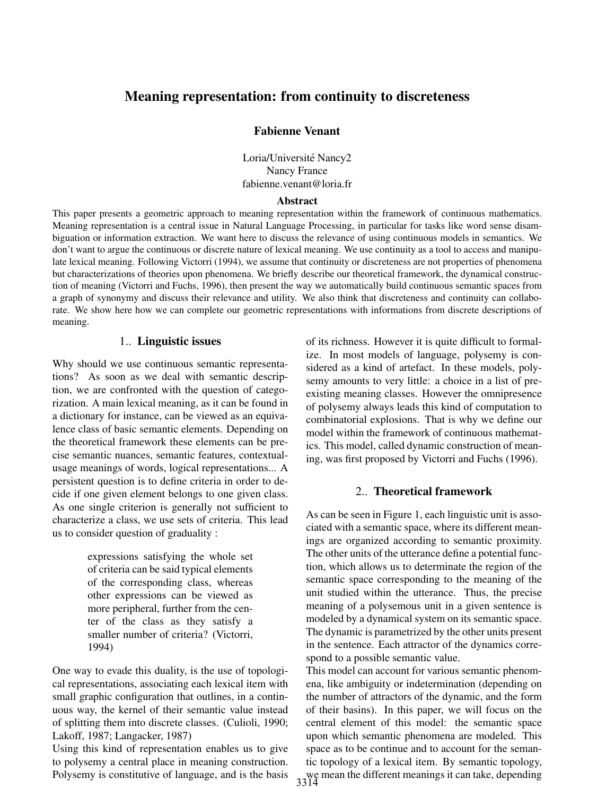# Meaning representation: from continuity to discreteness

### Fabienne Venant

Loria/Université Nancy2 Nancy France fabienne.venant@loria.fr

#### Abstract

This paper presents a geometric approach to meaning representation within the framework of continuous mathematics. Meaning representation is a central issue in Natural Language Processing, in particular for tasks like word sense disambiguation or information extraction. We want here to discuss the relevance of using continuous models in semantics. We don't want to argue the continuous or discrete nature of lexical meaning. We use continuity as a tool to access and manipulate lexical meaning. Following Victorri (1994), we assume that continuity or discreteness are not properties of phenomena but characterizations of theories upon phenomena. We briefly describe our theoretical framework, the dynamical construction of meaning (Victorri and Fuchs, 1996), then present the way we automatically build continuous semantic spaces from a graph of synonymy and discuss their relevance and utility. We also think that discreteness and continuity can collaborate. We show here how we can complete our geometric representations with informations from discrete descriptions of meaning.

#### 1.. Linguistic issues

Why should we use continuous semantic representations? As soon as we deal with semantic description, we are confronted with the question of categorization. A main lexical meaning, as it can be found in a dictionary for instance, can be viewed as an equivalence class of basic semantic elements. Depending on the theoretical framework these elements can be precise semantic nuances, semantic features, contextualusage meanings of words, logical representations... A persistent question is to define criteria in order to decide if one given element belongs to one given class. As one single criterion is generally not sufficient to characterize a class, we use sets of criteria. This lead us to consider question of graduality :

> expressions satisfying the whole set of criteria can be said typical elements of the corresponding class, whereas other expressions can be viewed as more peripheral, further from the center of the class as they satisfy a smaller number of criteria? (Victorri, 1994)

One way to evade this duality, is the use of topological representations, associating each lexical item with small graphic configuration that outlines, in a continuous way, the kernel of their semantic value instead of splitting them into discrete classes. (Culioli, 1990; Lakoff, 1987; Langacker, 1987)

Using this kind of representation enables us to give to polysemy a central place in meaning construction. Polysemy is constitutive of language, and is the basis of its richness. However it is quite difficult to formalize. In most models of language, polysemy is considered as a kind of artefact. In these models, polysemy amounts to very little: a choice in a list of preexisting meaning classes. However the omnipresence of polysemy always leads this kind of computation to combinatorial explosions. That is why we define our model within the framework of continuous mathematics. This model, called dynamic construction of meaning, was first proposed by Victorri and Fuchs (1996).

## 2.. Theoretical framework

As can be seen in Figure 1, each linguistic unit is associated with a semantic space, where its different meanings are organized according to semantic proximity. The other units of the utterance define a potential function, which allows us to determinate the region of the semantic space corresponding to the meaning of the unit studied within the utterance. Thus, the precise meaning of a polysemous unit in a given sentence is modeled by a dynamical system on its semantic space. The dynamic is parametrized by the other units present in the sentence. Each attractor of the dynamics correspond to a possible semantic value.

This model can account for various semantic phenomena, like ambiguity or indetermination (depending on the number of attractors of the dynamic, and the form of their basins). In this paper, we will focus on the central element of this model: the semantic space upon which semantic phenomena are modeled. This space as to be continue and to account for the semantic topology of a lexical item. By semantic topology, we mean the different meanings it can take, depending 3314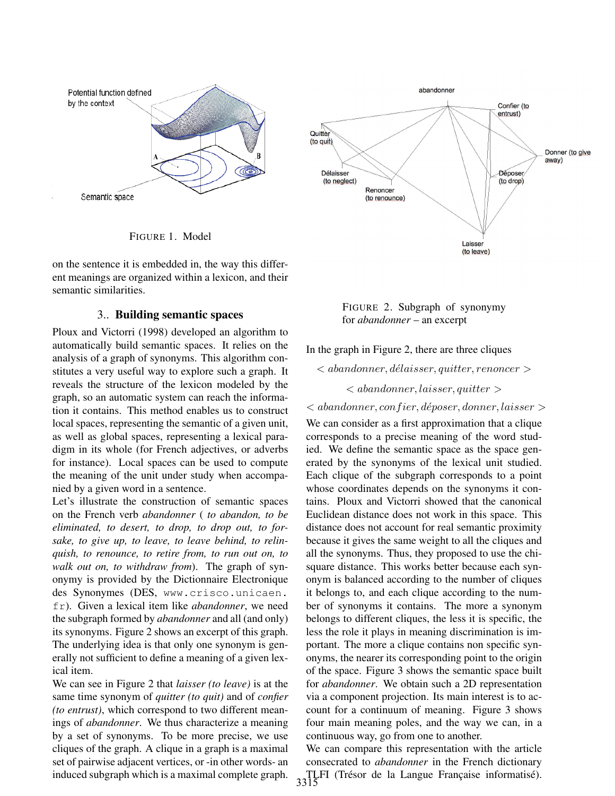

FIGURE 1. Model

on the sentence it is embedded in, the way this different meanings are organized within a lexicon, and their semantic similarities.

## 3.. Building semantic spaces

Ploux and Victorri (1998) developed an algorithm to automatically build semantic spaces. It relies on the analysis of a graph of synonyms. This algorithm constitutes a very useful way to explore such a graph. It reveals the structure of the lexicon modeled by the graph, so an automatic system can reach the information it contains. This method enables us to construct local spaces, representing the semantic of a given unit, as well as global spaces, representing a lexical paradigm in its whole (for French adjectives, or adverbs for instance). Local spaces can be used to compute the meaning of the unit under study when accompanied by a given word in a sentence.

Let's illustrate the construction of semantic spaces on the French verb *abandonner* ( *to abandon, to be eliminated, to desert, to drop, to drop out, to forsake, to give up, to leave, to leave behind, to relinquish, to renounce, to retire from, to run out on, to walk out on, to withdraw from*). The graph of synonymy is provided by the Dictionnaire Electronique des Synonymes (DES, www.crisco.unicaen. fr). Given a lexical item like *abandonner*, we need the subgraph formed by *abandonner* and all (and only) its synonyms. Figure 2 shows an excerpt of this graph. The underlying idea is that only one synonym is generally not sufficient to define a meaning of a given lexical item.

We can see in Figure 2 that *laisser (to leave)* is at the same time synonym of *quitter (to quit)* and of *confier (to entrust)*, which correspond to two different meanings of *abandonner*. We thus characterize a meaning by a set of synonyms. To be more precise, we use cliques of the graph. A clique in a graph is a maximal set of pairwise adjacent vertices, or -in other words- an induced subgraph which is a maximal complete graph.



FIGURE 2. Subgraph of synonymy for *abandonner* – an excerpt

In the graph in Figure 2, there are three cliques

 $\langle$  abandonner, délaisser, quitter, renoncer  $>$ 

 $\langle$  abandonner, laisser, quitter  $\rangle$ 

 $\langle$  abandonner, confier, déposer, donner, laisser

We can consider as a first approximation that a clique corresponds to a precise meaning of the word studied. We define the semantic space as the space generated by the synonyms of the lexical unit studied. Each clique of the subgraph corresponds to a point whose coordinates depends on the synonyms it contains. Ploux and Victorri showed that the canonical Euclidean distance does not work in this space. This distance does not account for real semantic proximity because it gives the same weight to all the cliques and all the synonyms. Thus, they proposed to use the chisquare distance. This works better because each synonym is balanced according to the number of cliques it belongs to, and each clique according to the number of synonyms it contains. The more a synonym belongs to different cliques, the less it is specific, the less the role it plays in meaning discrimination is important. The more a clique contains non specific synonyms, the nearer its corresponding point to the origin of the space. Figure 3 shows the semantic space built for *abandonner*. We obtain such a 2D representation via a component projection. Its main interest is to account for a continuum of meaning. Figure 3 shows four main meaning poles, and the way we can, in a continuous way, go from one to another.

We can compare this representation with the article consecrated to *abandonner* in the French dictionary TLFI (Trésor de la Langue Française informatisé).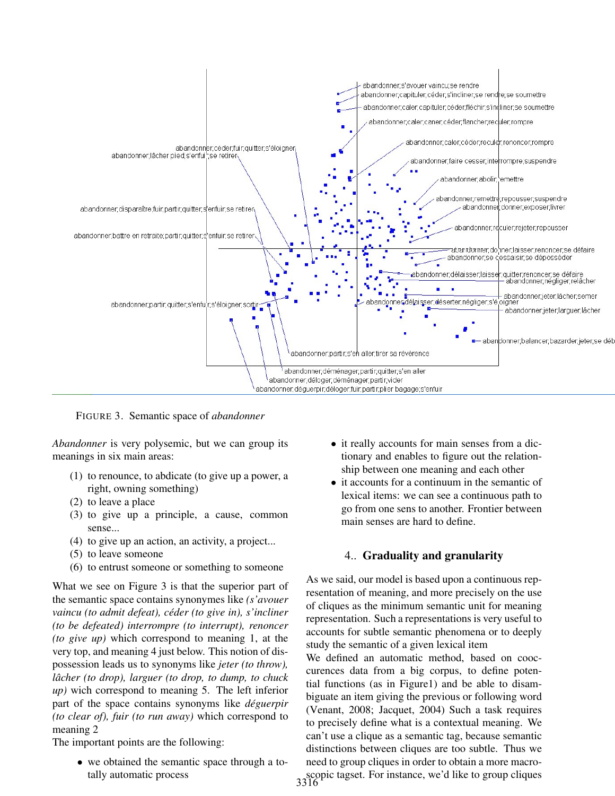

FIGURE 3. Semantic space of *abandonner*

*Abandonner* is very polysemic, but we can group its meanings in six main areas:

- (1) to renounce, to abdicate (to give up a power, a right, owning something)
- (2) to leave a place
- (3) to give up a principle, a cause, common sense...
- (4) to give up an action, an activity, a project...
- (5) to leave someone
- (6) to entrust someone or something to someone

What we see on Figure 3 is that the superior part of the semantic space contains synonymes like *(s'avouer vaincu (to admit defeat), ceder (to give in), s'incliner ´ (to be defeated) interrompre (to interrupt), renoncer (to give up)* which correspond to meaning 1, at the very top, and meaning 4 just below. This notion of dispossession leads us to synonyms like *jeter (to throw), lâcher (to drop), larguer (to drop, to dump, to chuck up)* wich correspond to meaning 5. The left inferior part of the space contains synonyms like *deguerpir ´ (to clear of), fuir (to run away)* which correspond to meaning 2

The important points are the following:

• we obtained the semantic space through a totally automatic process

- it really accounts for main senses from a dictionary and enables to figure out the relationship between one meaning and each other
- it accounts for a continuum in the semantic of lexical items: we can see a continuous path to go from one sens to another. Frontier between main senses are hard to define.

# 4.. Graduality and granularity

As we said, our model is based upon a continuous representation of meaning, and more precisely on the use of cliques as the minimum semantic unit for meaning representation. Such a representations is very useful to accounts for subtle semantic phenomena or to deeply study the semantic of a given lexical item

We defined an automatic method, based on cooccurences data from a big corpus, to define potential functions (as in Figure1) and be able to disambiguate an item giving the previous or following word (Venant, 2008; Jacquet, 2004) Such a task requires to precisely define what is a contextual meaning. We can't use a clique as a semantic tag, because semantic distinctions between cliques are too subtle. Thus we need to group cliques in order to obtain a more macro-

scopic tagset. For instance, we'd like to group cliques 3316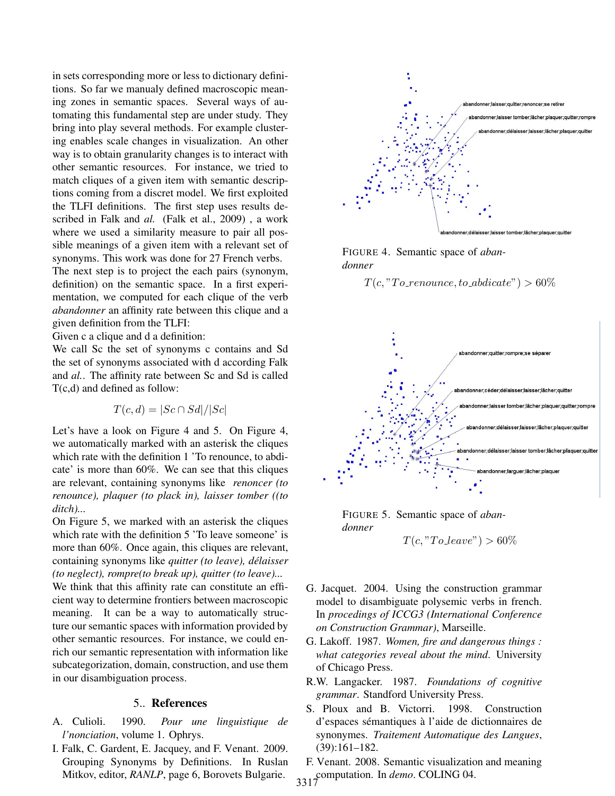in sets corresponding more or less to dictionary definitions. So far we manualy defined macroscopic meaning zones in semantic spaces. Several ways of automating this fundamental step are under study. They bring into play several methods. For example clustering enables scale changes in visualization. An other way is to obtain granularity changes is to interact with other semantic resources. For instance, we tried to match cliques of a given item with semantic descriptions coming from a discret model. We first exploited the TLFI definitions. The first step uses results described in Falk and *al.* (Falk et al., 2009) , a work where we used a similarity measure to pair all possible meanings of a given item with a relevant set of synonyms. This work was done for 27 French verbs.

The next step is to project the each pairs (synonym, definition) on the semantic space. In a first experimentation, we computed for each clique of the verb *abandonner* an affinity rate between this clique and a given definition from the TLFI:

Given c a clique and d a definition:

We call Sc the set of synonyms c contains and Sd the set of synonyms associated with d according Falk and *al.*. The affinity rate between Sc and Sd is called T(c,d) and defined as follow:

$$
T(c,d) = |Sc \cap Sd|/|Sc|
$$

Let's have a look on Figure 4 and 5. On Figure 4, we automatically marked with an asterisk the cliques which rate with the definition 1 'To renounce, to abdicate' is more than 60%. We can see that this cliques are relevant, containing synonyms like *renoncer (to renounce), plaquer (to plack in), laisser tomber ((to ditch)...*

On Figure 5, we marked with an asterisk the cliques which rate with the definition 5 'To leave someone' is more than 60%. Once again, this cliques are relevant, containing synonyms like *quitter (to leave), delaisser ´ (to neglect), rompre(to break up), quitter (to leave)...*

We think that this affinity rate can constitute an efficient way to determine frontiers between macroscopic meaning. It can be a way to automatically structure our semantic spaces with information provided by other semantic resources. For instance, we could enrich our semantic representation with information like subcategorization, domain, construction, and use them in our disambiguation process.

### 5.. References

- A. Culioli. 1990. *Pour une linguistique de l'nonciation*, volume 1. Ophrys.
- I. Falk, C. Gardent, E. Jacquey, and F. Venant. 2009. Grouping Synonyms by Definitions. In Ruslan Mitkov, editor, *RANLP*, page 6, Borovets Bulgarie.



FIGURE 4. Semantic space of *abandonner*

 $T(c, "To\_renounce, to\_addicate") > 60\%$ 



FIGURE 5. Semantic space of *abandonner*  $T(c, "To leave") > 60\%$ 

- 
- G. Jacquet. 2004. Using the construction grammar model to disambiguate polysemic verbs in french. In *procedings of ICCG3 (International Conference on Construction Grammar)*, Marseille.
- G. Lakoff. 1987. *Women, fire and dangerous things : what categories reveal about the mind*. University of Chicago Press.
- R.W. Langacker. 1987. *Foundations of cognitive grammar*. Standford University Press.
- S. Ploux and B. Victorri. 1998. Construction d'espaces sémantiques à l'aide de dictionnaires de synonymes. *Traitement Automatique des Langues*, (39):161–182.
- F. Venant. 2008. Semantic visualization and meaning computation. In *demo*. COLING 04. 3317